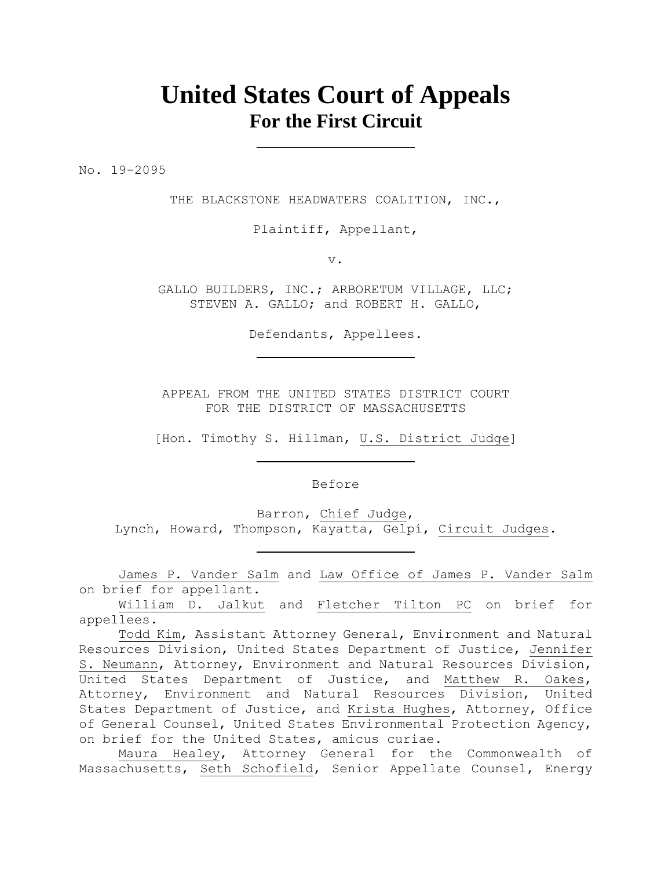# **United States Court of Appeals For the First Circuit**

No. 19-2095

THE BLACKSTONE HEADWATERS COALITION, INC.,

Plaintiff, Appellant,

v.

GALLO BUILDERS, INC.; ARBORETUM VILLAGE, LLC; STEVEN A. GALLO; and ROBERT H. GALLO,

Defendants, Appellees.

APPEAL FROM THE UNITED STATES DISTRICT COURT FOR THE DISTRICT OF MASSACHUSETTS

[Hon. Timothy S. Hillman, U.S. District Judge]

Before

Barron, Chief Judge,

Lynch, Howard, Thompson, Kayatta, Gelpí, Circuit Judges.

James P. Vander Salm and Law Office of James P. Vander Salm on brief for appellant.

William D. Jalkut and Fletcher Tilton PC on brief for appellees.

Todd Kim, Assistant Attorney General, Environment and Natural Resources Division, United States Department of Justice, Jennifer S. Neumann, Attorney, Environment and Natural Resources Division, United States Department of Justice, and Matthew R. Oakes, Attorney, Environment and Natural Resources Division, United States Department of Justice, and Krista Hughes, Attorney, Office of General Counsel, United States Environmental Protection Agency, on brief for the United States, amicus curiae.

Maura Healey, Attorney General for the Commonwealth of Massachusetts, Seth Schofield, Senior Appellate Counsel, Energy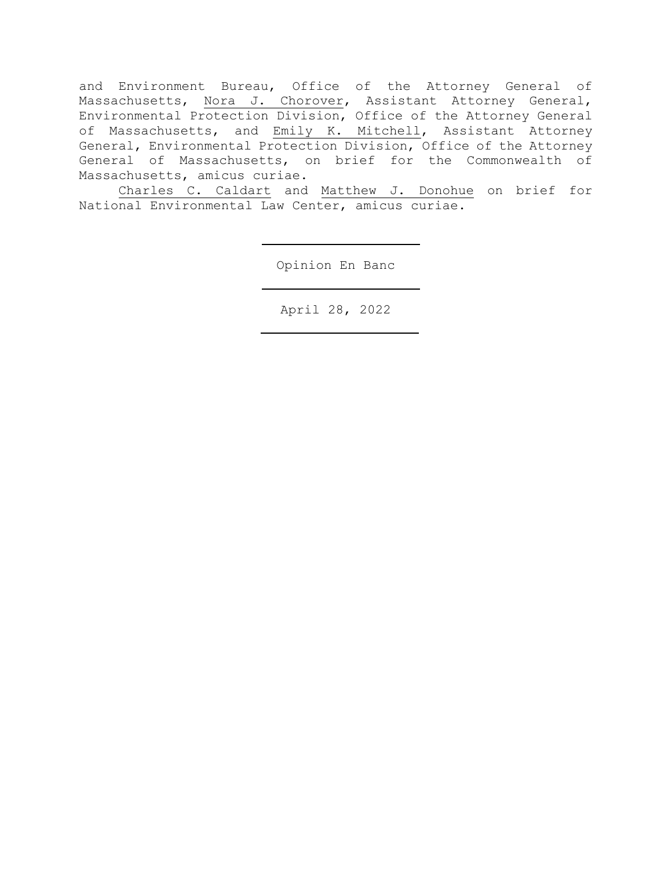and Environment Bureau, Office of the Attorney General of Massachusetts, Nora J. Chorover, Assistant Attorney General, Environmental Protection Division, Office of the Attorney General of Massachusetts, and Emily K. Mitchell, Assistant Attorney General, Environmental Protection Division, Office of the Attorney General of Massachusetts, on brief for the Commonwealth of Massachusetts, amicus curiae.

Charles C. Caldart and Matthew J. Donohue on brief for National Environmental Law Center, amicus curiae.

Opinion En Banc

April 28, 2022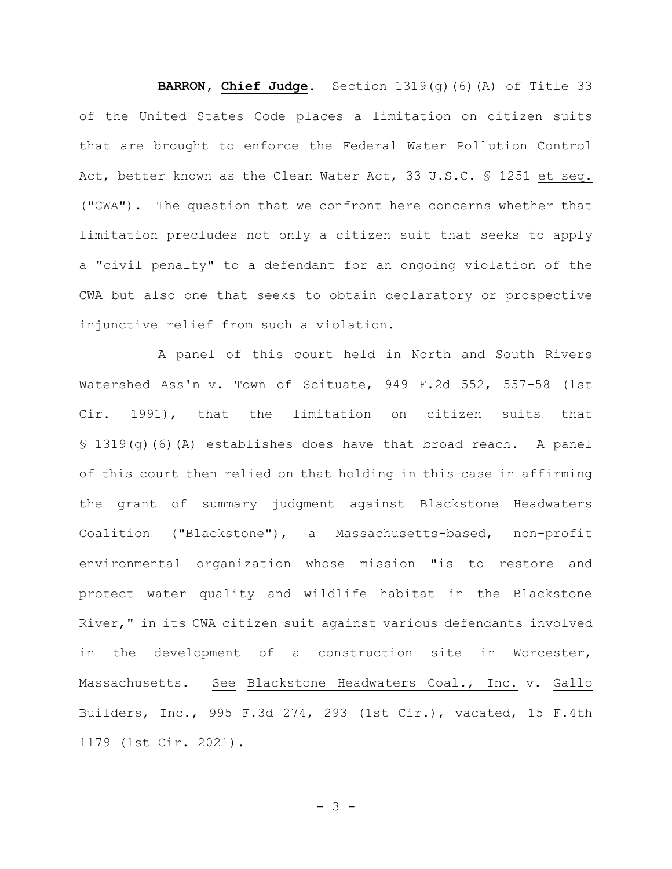**BARRON, Chief Judge.** Section 1319(g)(6)(A) of Title 33 of the United States Code places a limitation on citizen suits that are brought to enforce the Federal Water Pollution Control Act, better known as the Clean Water Act, 33 U.S.C. § 1251 et seq. ("CWA"). The question that we confront here concerns whether that limitation precludes not only a citizen suit that seeks to apply a "civil penalty" to a defendant for an ongoing violation of the CWA but also one that seeks to obtain declaratory or prospective injunctive relief from such a violation.

A panel of this court held in North and South Rivers Watershed Ass'n v. Town of Scituate, 949 F.2d 552, 557-58 (1st Cir. 1991), that the limitation on citizen suits that § 1319(g)(6)(A) establishes does have that broad reach. A panel of this court then relied on that holding in this case in affirming the grant of summary judgment against Blackstone Headwaters Coalition ("Blackstone"), a Massachusetts-based, non-profit environmental organization whose mission "is to restore and protect water quality and wildlife habitat in the Blackstone River," in its CWA citizen suit against various defendants involved in the development of a construction site in Worcester, Massachusetts. See Blackstone Headwaters Coal., Inc. v. Gallo Builders, Inc., 995 F.3d 274, 293 (1st Cir.), vacated, 15 F.4th 1179 (1st Cir. 2021).

- 3 -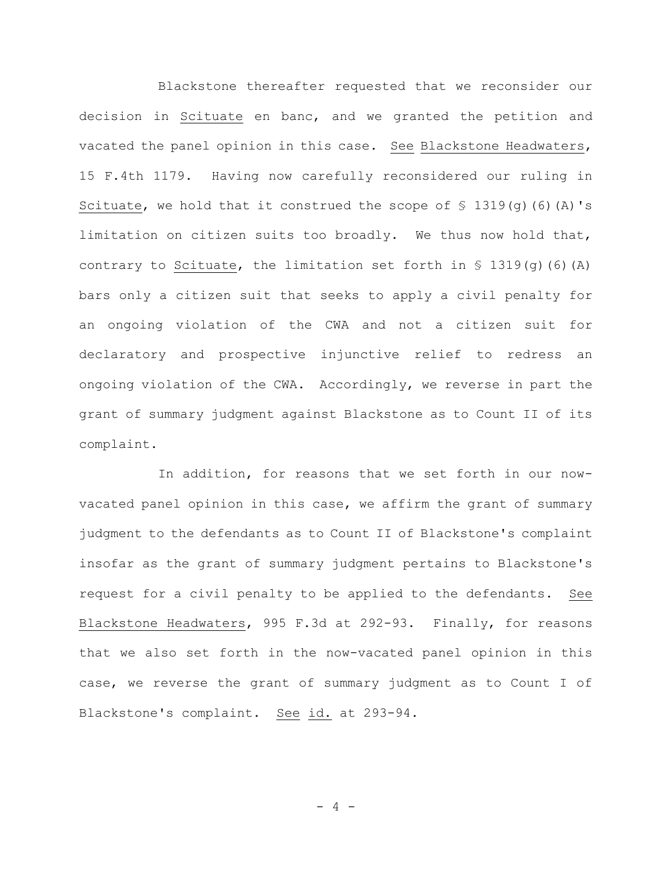Blackstone thereafter requested that we reconsider our decision in Scituate en banc, and we granted the petition and vacated the panel opinion in this case. See Blackstone Headwaters, 15 F.4th 1179. Having now carefully reconsidered our ruling in Scituate, we hold that it construed the scope of  $\frac{1}{5}$  1319(q)(6)(A)'s limitation on citizen suits too broadly. We thus now hold that, contrary to Scituate, the limitation set forth in  $\{$  1319(q)(6)(A) bars only a citizen suit that seeks to apply a civil penalty for an ongoing violation of the CWA and not a citizen suit for declaratory and prospective injunctive relief to redress an ongoing violation of the CWA. Accordingly, we reverse in part the grant of summary judgment against Blackstone as to Count II of its complaint.

In addition, for reasons that we set forth in our nowvacated panel opinion in this case, we affirm the grant of summary judgment to the defendants as to Count II of Blackstone's complaint insofar as the grant of summary judgment pertains to Blackstone's request for a civil penalty to be applied to the defendants. See Blackstone Headwaters, 995 F.3d at 292-93. Finally, for reasons that we also set forth in the now-vacated panel opinion in this case, we reverse the grant of summary judgment as to Count I of Blackstone's complaint. See id. at 293-94.

 $- 4 -$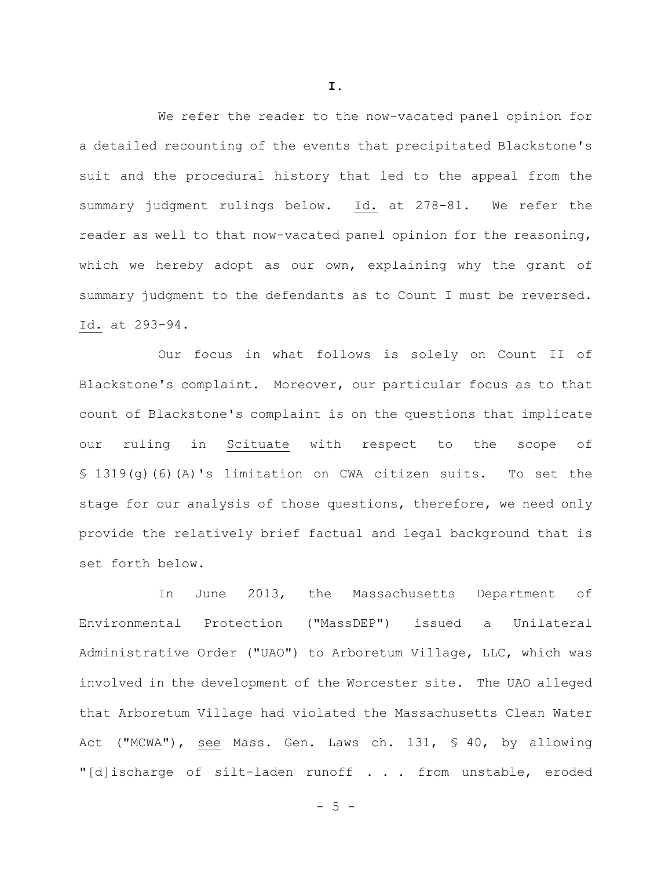We refer the reader to the now-vacated panel opinion for a detailed recounting of the events that precipitated Blackstone's suit and the procedural history that led to the appeal from the summary judgment rulings below. Id. at 278-81. We refer the reader as well to that now-vacated panel opinion for the reasoning, which we hereby adopt as our own, explaining why the grant of summary judgment to the defendants as to Count I must be reversed. Id. at 293-94.

Our focus in what follows is solely on Count II of Blackstone's complaint. Moreover, our particular focus as to that count of Blackstone's complaint is on the questions that implicate our ruling in Scituate with respect to the scope of § 1319(g)(6)(A)'s limitation on CWA citizen suits. To set the stage for our analysis of those questions, therefore, we need only provide the relatively brief factual and legal background that is set forth below.

In June 2013, the Massachusetts Department of Environmental Protection ("MassDEP") issued a Unilateral Administrative Order ("UAO") to Arboretum Village, LLC, which was involved in the development of the Worcester site. The UAO alleged that Arboretum Village had violated the Massachusetts Clean Water Act ("MCWA"), see Mass. Gen. Laws ch. 131, § 40, by allowing "[d]ischarge of silt-laden runoff . . . from unstable, eroded

**I.**

 $- 5 -$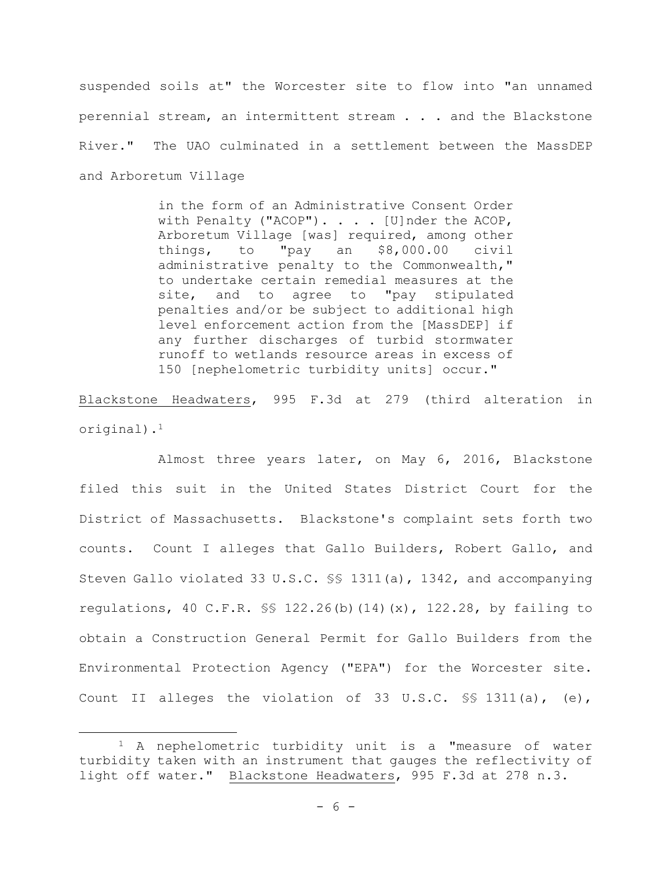suspended soils at" the Worcester site to flow into "an unnamed perennial stream, an intermittent stream . . . and the Blackstone River." The UAO culminated in a settlement between the MassDEP and Arboretum Village

> in the form of an Administrative Consent Order with Penalty ("ACOP"). . . . [U]nder the ACOP, Arboretum Village [was] required, among other things, to "pay an \$8,000.00 civil administrative penalty to the Commonwealth," to undertake certain remedial measures at the site, and to agree to "pay stipulated penalties and/or be subject to additional high level enforcement action from the [MassDEP] if any further discharges of turbid stormwater runoff to wetlands resource areas in excess of 150 [nephelometric turbidity units] occur."

Blackstone Headwaters, 995 F.3d at 279 (third alteration in original).<sup>1</sup>

Almost three years later, on May 6, 2016, Blackstone filed this suit in the United States District Court for the District of Massachusetts. Blackstone's complaint sets forth two counts. Count I alleges that Gallo Builders, Robert Gallo, and Steven Gallo violated 33 U.S.C. §§ 1311(a), 1342, and accompanying regulations, 40 C.F.R. §§ 122.26(b)(14)(x), 122.28, by failing to obtain a Construction General Permit for Gallo Builders from the Environmental Protection Agency ("EPA") for the Worcester site. Count II alleges the violation of 33 U.S.C. §§ 1311(a), (e),

<sup>&</sup>lt;sup>1</sup> A nephelometric turbidity unit is a "measure of water turbidity taken with an instrument that gauges the reflectivity of light off water." Blackstone Headwaters, 995 F.3d at 278 n.3.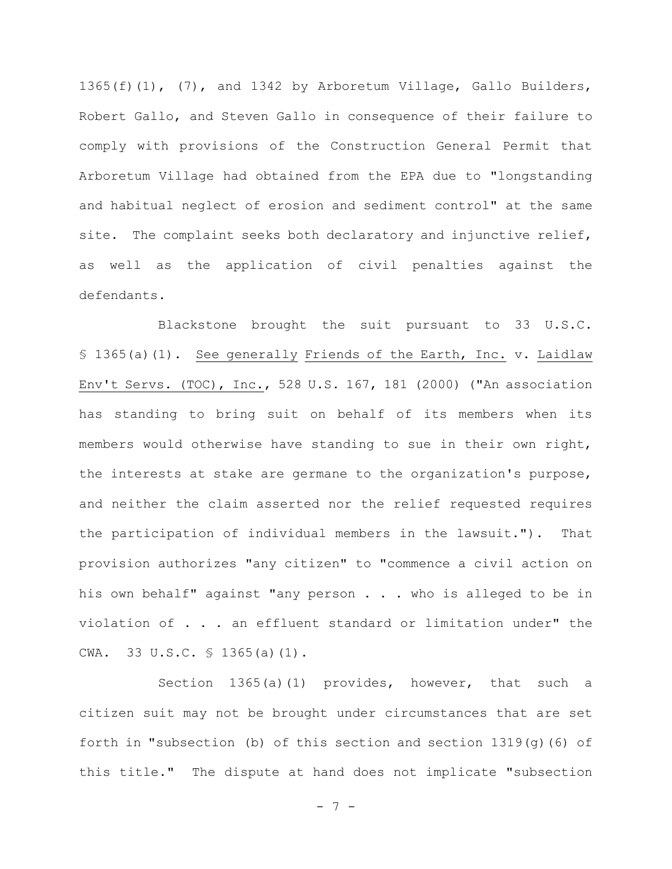1365(f)(1), (7), and 1342 by Arboretum Village, Gallo Builders, Robert Gallo, and Steven Gallo in consequence of their failure to comply with provisions of the Construction General Permit that Arboretum Village had obtained from the EPA due to "longstanding and habitual neglect of erosion and sediment control" at the same site. The complaint seeks both declaratory and injunctive relief, as well as the application of civil penalties against the defendants.

Blackstone brought the suit pursuant to 33 U.S.C. § 1365(a)(1). See generally Friends of the Earth, Inc. v. Laidlaw Env't Servs. (TOC), Inc., 528 U.S. 167, 181 (2000) ("An association has standing to bring suit on behalf of its members when its members would otherwise have standing to sue in their own right, the interests at stake are germane to the organization's purpose, and neither the claim asserted nor the relief requested requires the participation of individual members in the lawsuit."). That provision authorizes "any citizen" to "commence a civil action on his own behalf" against "any person . . . who is alleged to be in violation of . . . an effluent standard or limitation under" the CWA. 33 U.S.C. § 1365(a)(1).

Section 1365(a)(1) provides, however, that such a citizen suit may not be brought under circumstances that are set forth in "subsection (b) of this section and section 1319(g)(6) of this title." The dispute at hand does not implicate "subsection

- 7 -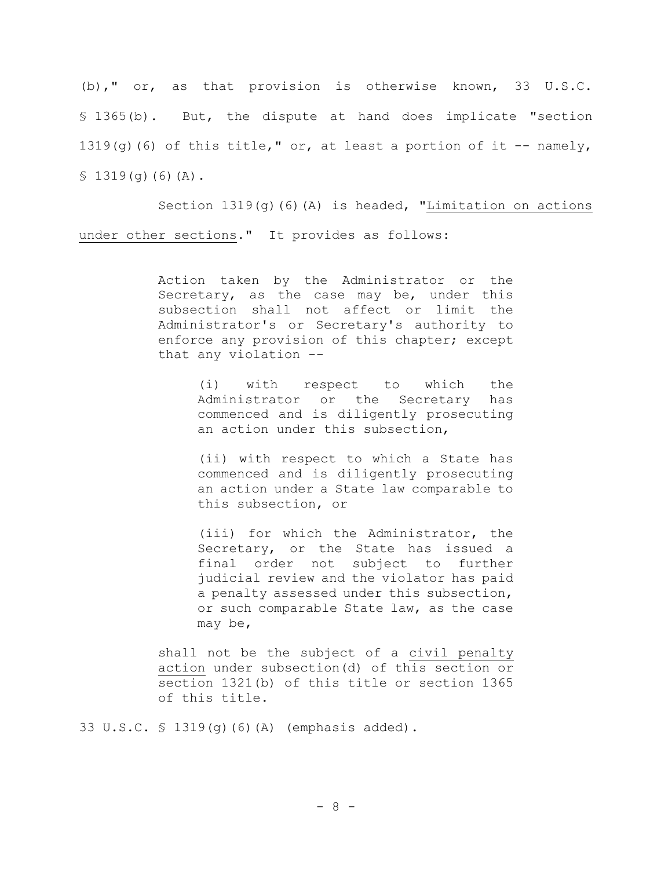(b)," or, as that provision is otherwise known, 33 U.S.C. § 1365(b). But, the dispute at hand does implicate "section 1319(g)(6) of this title," or, at least a portion of it  $-$ - namely,  $$1319(q)(6)(A).$ 

Section  $1319(q)$  (6)(A) is headed, "Limitation on actions under other sections." It provides as follows:

> Action taken by the Administrator or the Secretary, as the case may be, under this subsection shall not affect or limit the Administrator's or Secretary's authority to enforce any provision of this chapter; except that any violation --

> > (i) with respect to which the Administrator or the Secretary has commenced and is diligently prosecuting an action under this subsection,

> > (ii) with respect to which a State has commenced and is diligently prosecuting an action under a State law comparable to this subsection, or

> > (iii) for which the Administrator, the Secretary, or the State has issued a final order not subject to further judicial review and the violator has paid a penalty assessed under this subsection, or such comparable State law, as the case may be,

shall not be the subject of a civil penalty action under subsection(d) of this section or section 1321(b) of this title or section 1365 of this title.

33 U.S.C. § 1319(g)(6)(A) (emphasis added).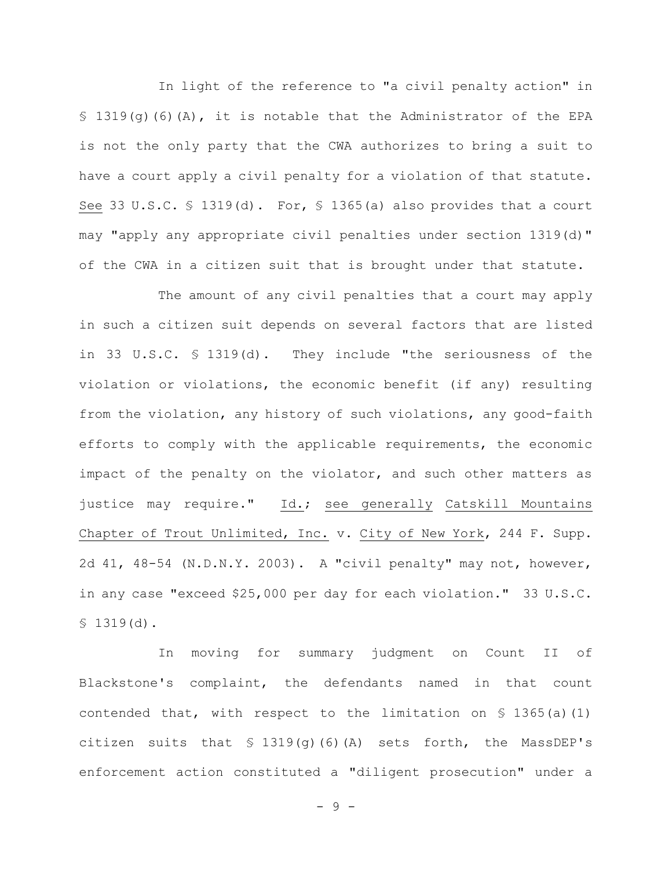In light of the reference to "a civil penalty action" in  $\S$  1319(q)(6)(A), it is notable that the Administrator of the EPA is not the only party that the CWA authorizes to bring a suit to have a court apply a civil penalty for a violation of that statute. See 33 U.S.C. § 1319(d). For, § 1365(a) also provides that a court may "apply any appropriate civil penalties under section 1319(d)" of the CWA in a citizen suit that is brought under that statute.

The amount of any civil penalties that a court may apply in such a citizen suit depends on several factors that are listed in 33 U.S.C. § 1319(d). They include "the seriousness of the violation or violations, the economic benefit (if any) resulting from the violation, any history of such violations, any good-faith efforts to comply with the applicable requirements, the economic impact of the penalty on the violator, and such other matters as justice may require." Id.; see generally Catskill Mountains Chapter of Trout Unlimited, Inc. v. City of New York, 244 F. Supp. 2d 41, 48-54 (N.D.N.Y. 2003). A "civil penalty" may not, however, in any case "exceed \$25,000 per day for each violation." 33 U.S.C. § 1319(d).

In moving for summary judgment on Count II of Blackstone's complaint, the defendants named in that count contended that, with respect to the limitation on § 1365(a)(1) citizen suits that  $\frac{1319}{9}$ (6)(A) sets forth, the MassDEP's enforcement action constituted a "diligent prosecution" under a

- 9 -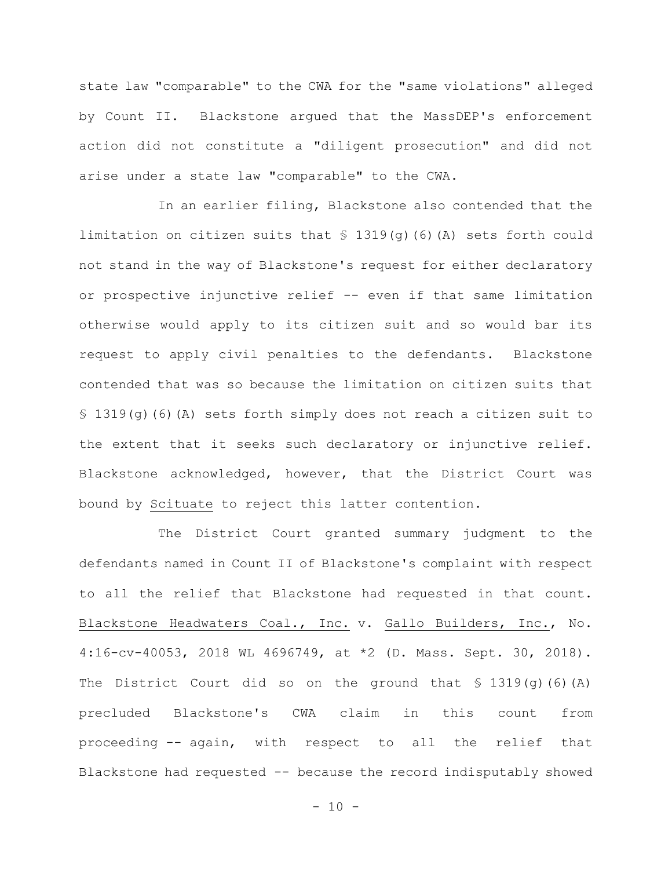state law "comparable" to the CWA for the "same violations" alleged by Count II. Blackstone argued that the MassDEP's enforcement action did not constitute a "diligent prosecution" and did not arise under a state law "comparable" to the CWA.

In an earlier filing, Blackstone also contended that the limitation on citizen suits that § 1319(g)(6)(A) sets forth could not stand in the way of Blackstone's request for either declaratory or prospective injunctive relief -- even if that same limitation otherwise would apply to its citizen suit and so would bar its request to apply civil penalties to the defendants. Blackstone contended that was so because the limitation on citizen suits that § 1319(g)(6)(A) sets forth simply does not reach a citizen suit to the extent that it seeks such declaratory or injunctive relief. Blackstone acknowledged, however, that the District Court was bound by Scituate to reject this latter contention.

The District Court granted summary judgment to the defendants named in Count II of Blackstone's complaint with respect to all the relief that Blackstone had requested in that count. Blackstone Headwaters Coal., Inc. v. Gallo Builders, Inc., No. 4:16-cv-40053, 2018 WL 4696749, at \*2 (D. Mass. Sept. 30, 2018). The District Court did so on the ground that § 1319(g)(6)(A) precluded Blackstone's CWA claim in this count from proceeding -- again, with respect to all the relief that Blackstone had requested -- because the record indisputably showed

 $- 10 -$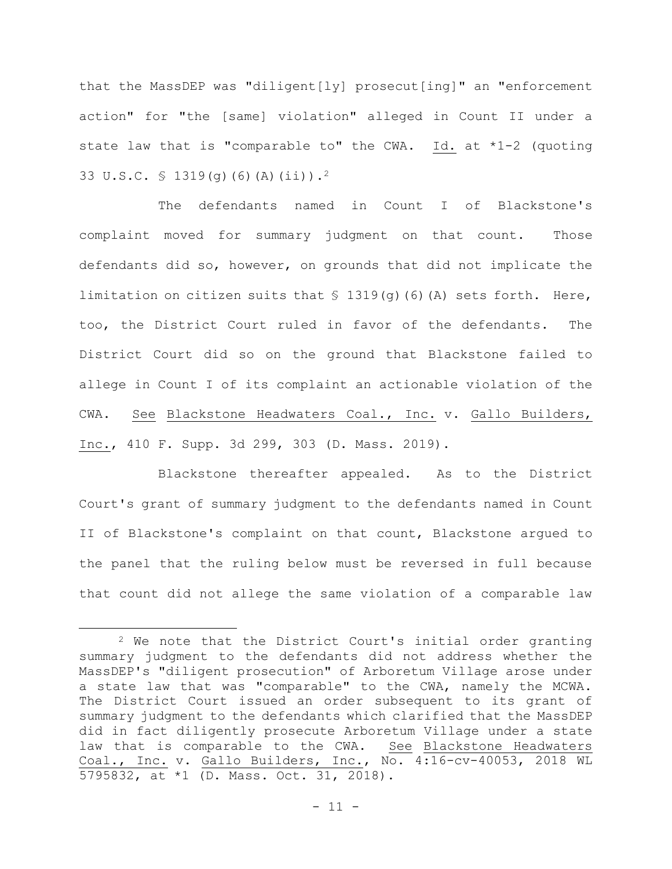that the MassDEP was "diligent[ly] prosecut[ing]" an "enforcement action" for "the [same] violation" alleged in Count II under a state law that is "comparable to" the CWA. Id. at  $*1-2$  (quoting 33 U.S.C. § 1319(g)(6)(A)(ii)).<sup>2</sup>

The defendants named in Count I of Blackstone's complaint moved for summary judgment on that count. Those defendants did so, however, on grounds that did not implicate the limitation on citizen suits that  $\frac{1319}{9}$ (6)(A) sets forth. Here, too, the District Court ruled in favor of the defendants. The District Court did so on the ground that Blackstone failed to allege in Count I of its complaint an actionable violation of the CWA. See Blackstone Headwaters Coal., Inc. v. Gallo Builders, Inc., 410 F. Supp. 3d 299, 303 (D. Mass. 2019).

Blackstone thereafter appealed. As to the District Court's grant of summary judgment to the defendants named in Count II of Blackstone's complaint on that count, Blackstone argued to the panel that the ruling below must be reversed in full because that count did not allege the same violation of a comparable law

<sup>2</sup> We note that the District Court's initial order granting summary judgment to the defendants did not address whether the MassDEP's "diligent prosecution" of Arboretum Village arose under a state law that was "comparable" to the CWA, namely the MCWA. The District Court issued an order subsequent to its grant of summary judgment to the defendants which clarified that the MassDEP did in fact diligently prosecute Arboretum Village under a state law that is comparable to the CWA. See Blackstone Headwaters Coal., Inc. v. Gallo Builders, Inc., No. 4:16-cv-40053, 2018 WL 5795832, at \*1 (D. Mass. Oct. 31, 2018).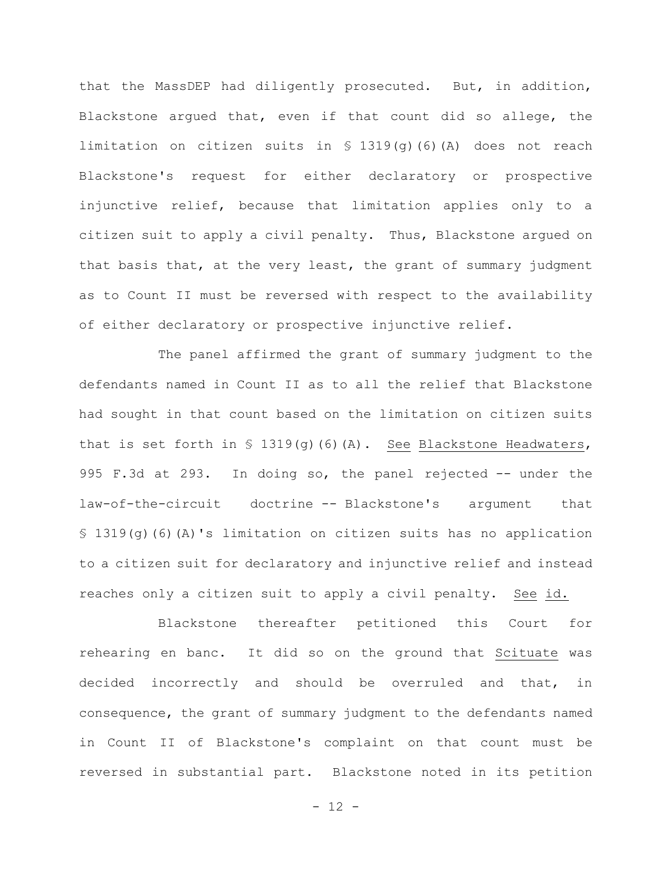that the MassDEP had diligently prosecuted. But, in addition, Blackstone argued that, even if that count did so allege, the limitation on citizen suits in § 1319(g)(6)(A) does not reach Blackstone's request for either declaratory or prospective injunctive relief, because that limitation applies only to a citizen suit to apply a civil penalty. Thus, Blackstone argued on that basis that, at the very least, the grant of summary judgment as to Count II must be reversed with respect to the availability of either declaratory or prospective injunctive relief.

The panel affirmed the grant of summary judgment to the defendants named in Count II as to all the relief that Blackstone had sought in that count based on the limitation on citizen suits that is set forth in  $\S$  1319(g)(6)(A). See Blackstone Headwaters, 995 F.3d at 293. In doing so, the panel rejected -- under the law-of-the-circuit doctrine -- Blackstone's argument that § 1319(g)(6)(A)'s limitation on citizen suits has no application to a citizen suit for declaratory and injunctive relief and instead reaches only a citizen suit to apply a civil penalty. See id.

Blackstone thereafter petitioned this Court for rehearing en banc. It did so on the ground that Scituate was decided incorrectly and should be overruled and that, in consequence, the grant of summary judgment to the defendants named in Count II of Blackstone's complaint on that count must be reversed in substantial part. Blackstone noted in its petition

- 12 -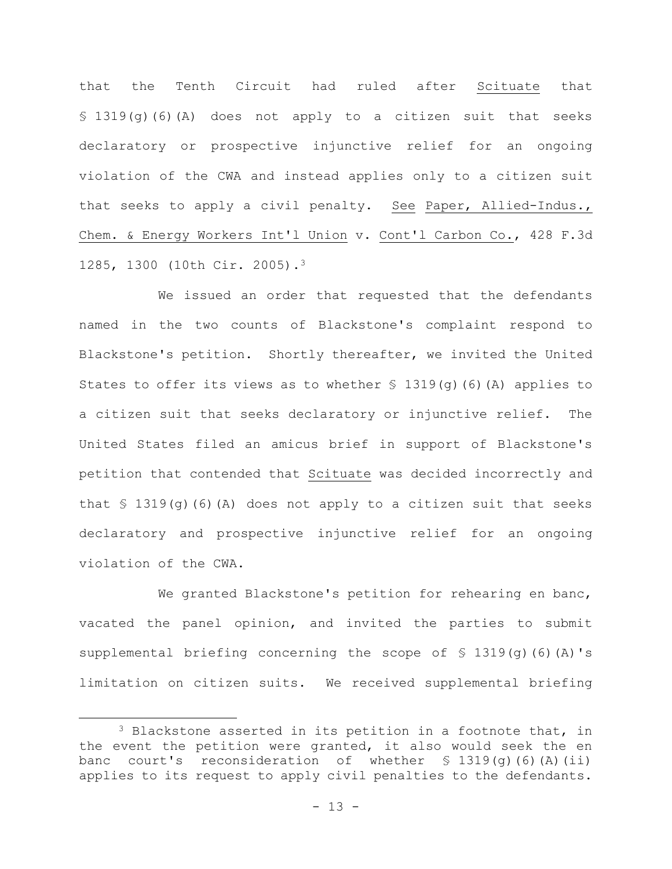that the Tenth Circuit had ruled after Scituate that § 1319(g)(6)(A) does not apply to a citizen suit that seeks declaratory or prospective injunctive relief for an ongoing violation of the CWA and instead applies only to a citizen suit that seeks to apply a civil penalty. See Paper, Allied-Indus., Chem. & Energy Workers Int'l Union v. Cont'l Carbon Co., 428 F.3d 1285, 1300 (10th Cir. 2005).<sup>3</sup>

We issued an order that requested that the defendants named in the two counts of Blackstone's complaint respond to Blackstone's petition. Shortly thereafter, we invited the United States to offer its views as to whether  $\frac{1}{2}$  1319(q)(6)(A) applies to a citizen suit that seeks declaratory or injunctive relief. The United States filed an amicus brief in support of Blackstone's petition that contended that Scituate was decided incorrectly and that  $\frac{1319(q)}{6}$  (6)(A) does not apply to a citizen suit that seeks declaratory and prospective injunctive relief for an ongoing violation of the CWA.

We granted Blackstone's petition for rehearing en banc, vacated the panel opinion, and invited the parties to submit supplemental briefing concerning the scope of § 1319(q)(6)(A)'s limitation on citizen suits. We received supplemental briefing

<sup>&</sup>lt;sup>3</sup> Blackstone asserted in its petition in a footnote that, in the event the petition were granted, it also would seek the en banc court's reconsideration of whether § 1319(g)(6)(A)(ii) applies to its request to apply civil penalties to the defendants.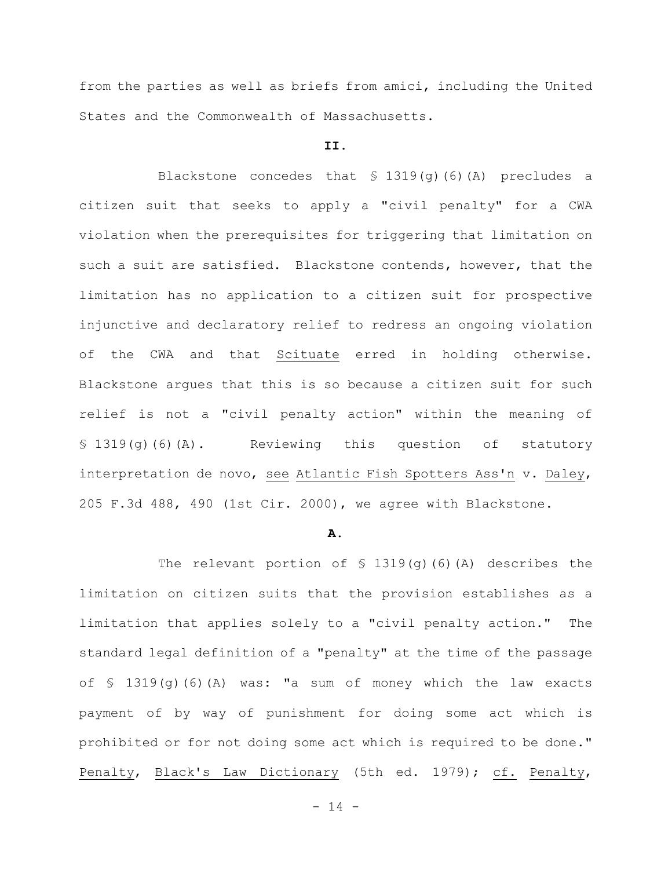from the parties as well as briefs from amici, including the United States and the Commonwealth of Massachusetts.

## **II.**

Blackstone concedes that § 1319(g)(6)(A) precludes a citizen suit that seeks to apply a "civil penalty" for a CWA violation when the prerequisites for triggering that limitation on such a suit are satisfied. Blackstone contends, however, that the limitation has no application to a citizen suit for prospective injunctive and declaratory relief to redress an ongoing violation of the CWA and that Scituate erred in holding otherwise. Blackstone argues that this is so because a citizen suit for such relief is not a "civil penalty action" within the meaning of § 1319(g)(6)(A). Reviewing this question of statutory interpretation de novo, see Atlantic Fish Spotters Ass'n v. Daley, 205 F.3d 488, 490 (1st Cir. 2000), we agree with Blackstone.

### **A.**

The relevant portion of  $\S$  1319(g)(6)(A) describes the limitation on citizen suits that the provision establishes as a limitation that applies solely to a "civil penalty action." The standard legal definition of a "penalty" at the time of the passage of § 1319(g)(6)(A) was: "a sum of money which the law exacts payment of by way of punishment for doing some act which is prohibited or for not doing some act which is required to be done." Penalty, Black's Law Dictionary (5th ed. 1979); cf. Penalty,

 $- 14 -$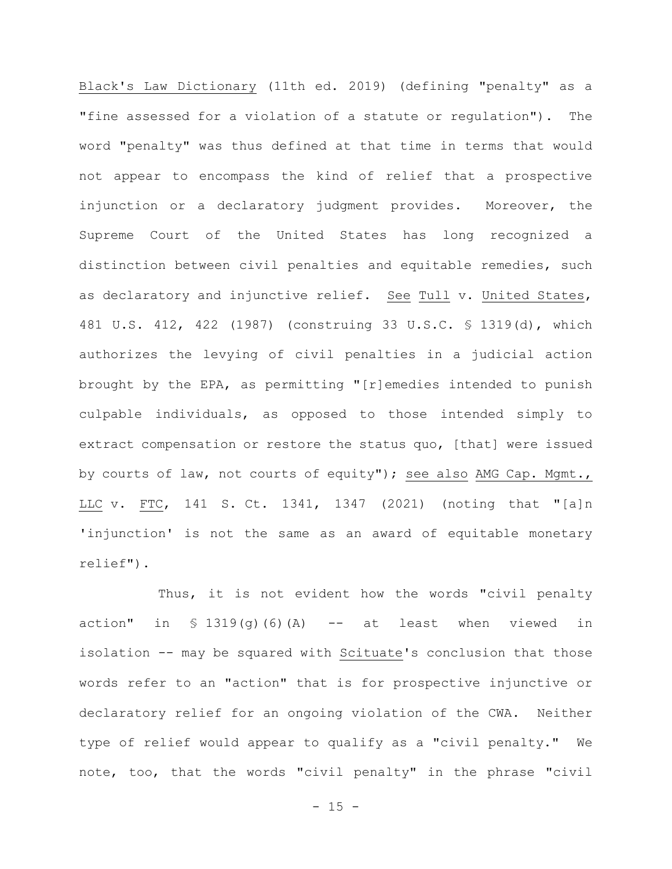Black's Law Dictionary (11th ed. 2019) (defining "penalty" as a "fine assessed for a violation of a statute or regulation"). The word "penalty" was thus defined at that time in terms that would not appear to encompass the kind of relief that a prospective injunction or a declaratory judgment provides. Moreover, the Supreme Court of the United States has long recognized a distinction between civil penalties and equitable remedies, such as declaratory and injunctive relief. See Tull v. United States, 481 U.S. 412, 422 (1987) (construing 33 U.S.C. § 1319(d), which authorizes the levying of civil penalties in a judicial action brought by the EPA, as permitting "[r]emedies intended to punish culpable individuals, as opposed to those intended simply to extract compensation or restore the status quo, [that] were issued by courts of law, not courts of equity"); see also AMG Cap. Mgmt., LLC v. FTC, 141 S. Ct. 1341, 1347 (2021) (noting that "[a]n 'injunction' is not the same as an award of equitable monetary relief").

Thus, it is not evident how the words "civil penalty action" in  $\frac{1}{2}$  1319(q)(6)(A) -- at least when viewed in isolation -- may be squared with Scituate's conclusion that those words refer to an "action" that is for prospective injunctive or declaratory relief for an ongoing violation of the CWA. Neither type of relief would appear to qualify as a "civil penalty." We note, too, that the words "civil penalty" in the phrase "civil

 $- 15 -$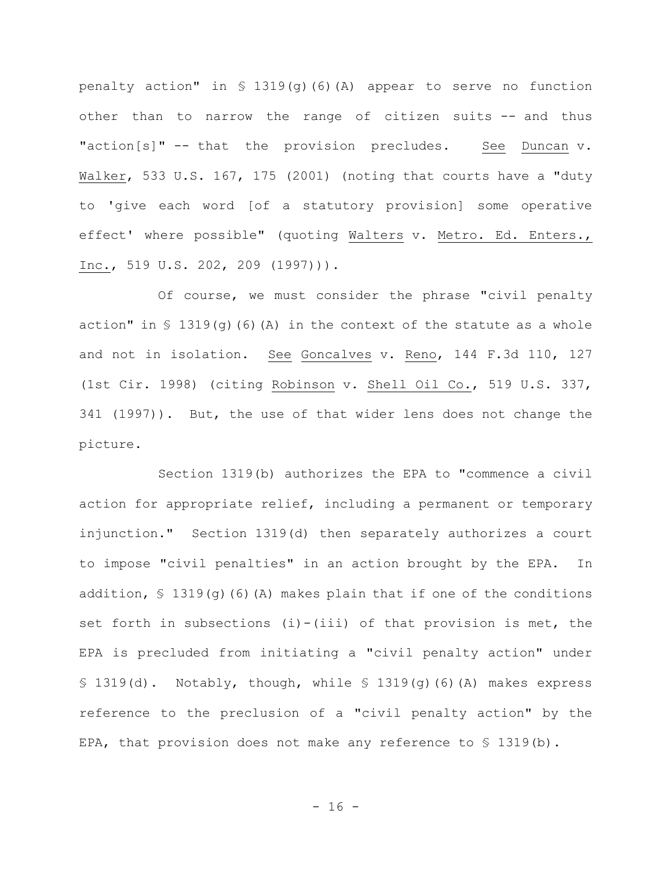penalty action" in § 1319(g)(6)(A) appear to serve no function other than to narrow the range of citizen suits -- and thus "action[s]" -- that the provision precludes. See Duncan v. Walker, 533 U.S. 167, 175 (2001) (noting that courts have a "duty to 'give each word [of a statutory provision] some operative effect' where possible" (quoting Walters v. Metro. Ed. Enters., Inc., 519 U.S. 202, 209 (1997))).

Of course, we must consider the phrase "civil penalty action" in  $S$  1319(g)(6)(A) in the context of the statute as a whole and not in isolation. See Goncalves v. Reno, 144 F.3d 110, 127 (1st Cir. 1998) (citing Robinson v. Shell Oil Co., 519 U.S. 337, 341 (1997)). But, the use of that wider lens does not change the picture.

Section 1319(b) authorizes the EPA to "commence a civil action for appropriate relief, including a permanent or temporary injunction." Section 1319(d) then separately authorizes a court to impose "civil penalties" in an action brought by the EPA. In addition,  $\frac{1}{2}$  1319(q)(6)(A) makes plain that if one of the conditions set forth in subsections  $(i) - (iii)$  of that provision is met, the EPA is precluded from initiating a "civil penalty action" under § 1319(d). Notably, though, while § 1319(g)(6)(A) makes express reference to the preclusion of a "civil penalty action" by the EPA, that provision does not make any reference to  $\frac{1}{5}$  1319(b).

 $- 16 -$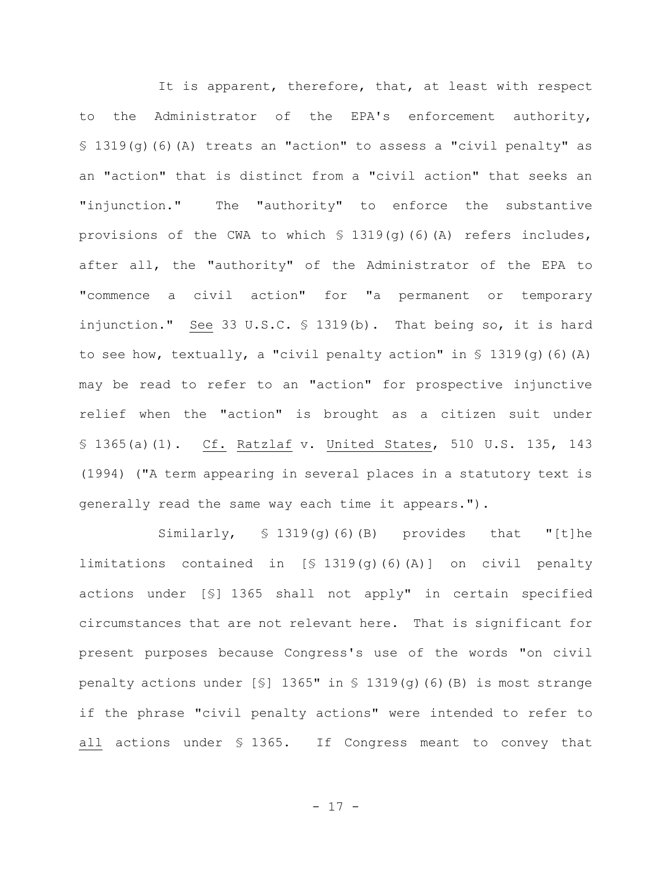It is apparent, therefore, that, at least with respect to the Administrator of the EPA's enforcement authority, § 1319(g)(6)(A) treats an "action" to assess a "civil penalty" as an "action" that is distinct from a "civil action" that seeks an "injunction." The "authority" to enforce the substantive provisions of the CWA to which § 1319(g)(6)(A) refers includes, after all, the "authority" of the Administrator of the EPA to "commence a civil action" for "a permanent or temporary injunction." See 33 U.S.C. § 1319(b). That being so, it is hard to see how, textually, a "civil penalty action" in  $\frac{1}{5}$  1319(g)(6)(A) may be read to refer to an "action" for prospective injunctive relief when the "action" is brought as a citizen suit under § 1365(a)(1). Cf. Ratzlaf v. United States, 510 U.S. 135, 143 (1994) ("A term appearing in several places in a statutory text is generally read the same way each time it appears.").

Similarly,  $\$ 1319(q)$ (6)(B) provides that "[t]he limitations contained in [§ 1319(g)(6)(A)] on civil penalty actions under [§] 1365 shall not apply" in certain specified circumstances that are not relevant here. That is significant for present purposes because Congress's use of the words "on civil penalty actions under [§] 1365" in § 1319(g)(6)(B) is most strange if the phrase "civil penalty actions" were intended to refer to all actions under § 1365. If Congress meant to convey that

- 17 -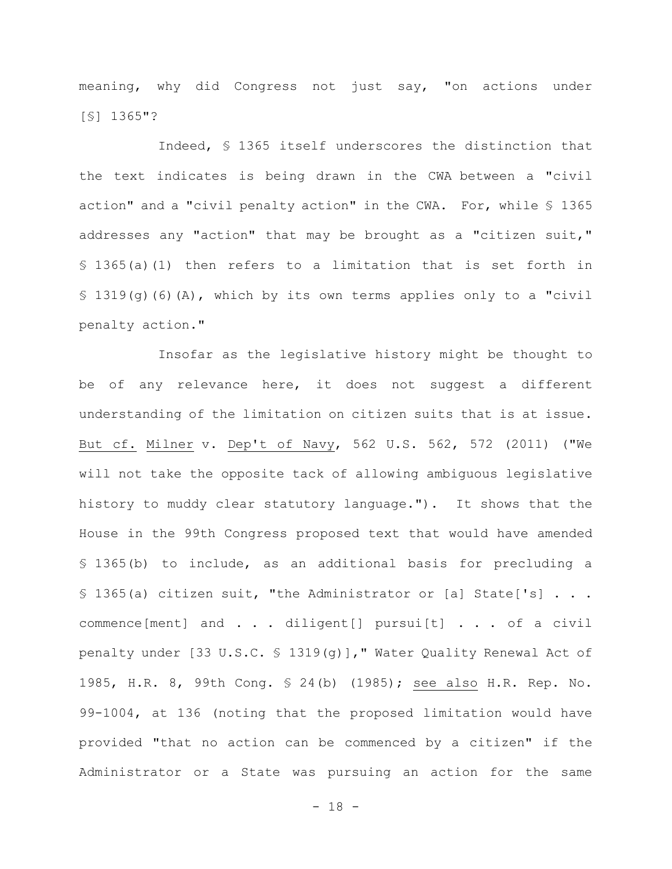meaning, why did Congress not just say, "on actions under [§] 1365"?

Indeed, § 1365 itself underscores the distinction that the text indicates is being drawn in the CWA between a "civil action" and a "civil penalty action" in the CWA. For, while § 1365 addresses any "action" that may be brought as a "citizen suit," § 1365(a)(1) then refers to a limitation that is set forth in § 1319(g)(6)(A), which by its own terms applies only to a "civil penalty action."

Insofar as the legislative history might be thought to be of any relevance here, it does not suggest a different understanding of the limitation on citizen suits that is at issue. But cf. Milner v. Dep't of Navy, 562 U.S. 562, 572 (2011) ("We will not take the opposite tack of allowing ambiguous legislative history to muddy clear statutory language."). It shows that the House in the 99th Congress proposed text that would have amended § 1365(b) to include, as an additional basis for precluding a § 1365(a) citizen suit, "the Administrator or [a] State['s] . . . commence[ment] and . . . diligent[] pursui[t] . . . of a civil penalty under [33 U.S.C. § 1319(g)]," Water Quality Renewal Act of 1985, H.R. 8, 99th Cong. § 24(b) (1985); see also H.R. Rep. No. 99-1004, at 136 (noting that the proposed limitation would have provided "that no action can be commenced by a citizen" if the Administrator or a State was pursuing an action for the same

- 18 -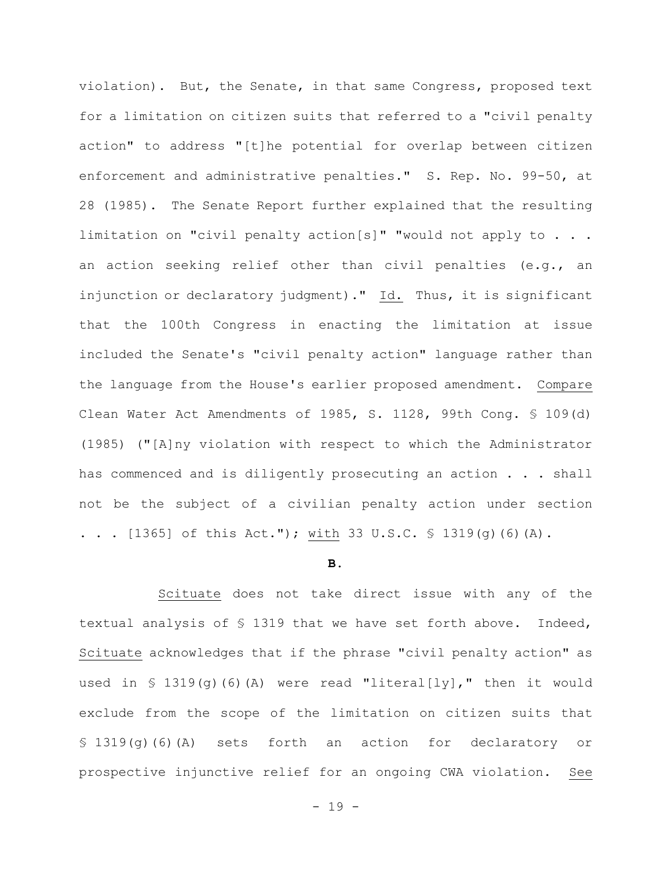violation). But, the Senate, in that same Congress, proposed text for a limitation on citizen suits that referred to a "civil penalty action" to address "[t]he potential for overlap between citizen enforcement and administrative penalties." S. Rep. No. 99-50, at 28 (1985). The Senate Report further explained that the resulting limitation on "civil penalty action[s]" "would not apply to . . . an action seeking relief other than civil penalties (e.g., an injunction or declaratory judgment)." Id. Thus, it is significant that the 100th Congress in enacting the limitation at issue included the Senate's "civil penalty action" language rather than the language from the House's earlier proposed amendment. Compare Clean Water Act Amendments of 1985, S. 1128, 99th Cong. § 109(d) (1985) ("[A]ny violation with respect to which the Administrator has commenced and is diligently prosecuting an action . . . shall not be the subject of a civilian penalty action under section . . .  $[1365]$  of this Act."); with 33 U.S.C. § 1319(q)(6)(A).

#### **B.**

Scituate does not take direct issue with any of the textual analysis of § 1319 that we have set forth above. Indeed, Scituate acknowledges that if the phrase "civil penalty action" as used in  $\$ 1319(g)$  (6) (A) were read "literal[ly]," then it would exclude from the scope of the limitation on citizen suits that § 1319(g)(6)(A) sets forth an action for declaratory or prospective injunctive relief for an ongoing CWA violation. See

- 19 -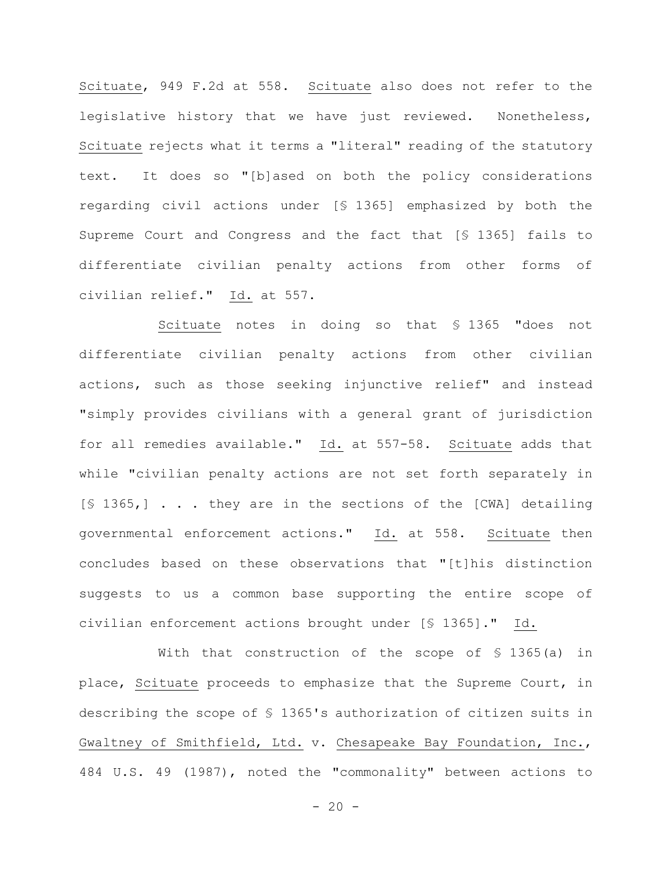Scituate, 949 F.2d at 558. Scituate also does not refer to the legislative history that we have just reviewed. Nonetheless, Scituate rejects what it terms a "literal" reading of the statutory text. It does so "[b]ased on both the policy considerations regarding civil actions under [§ 1365] emphasized by both the Supreme Court and Congress and the fact that [§ 1365] fails to differentiate civilian penalty actions from other forms of civilian relief." Id. at 557.

Scituate notes in doing so that § 1365 "does not differentiate civilian penalty actions from other civilian actions, such as those seeking injunctive relief" and instead "simply provides civilians with a general grant of jurisdiction for all remedies available." Id. at 557-58. Scituate adds that while "civilian penalty actions are not set forth separately in [§ 1365,] . . . they are in the sections of the [CWA] detailing governmental enforcement actions." Id. at 558. Scituate then concludes based on these observations that "[t]his distinction suggests to us a common base supporting the entire scope of civilian enforcement actions brought under [§ 1365]." Id.

With that construction of the scope of § 1365(a) in place, Scituate proceeds to emphasize that the Supreme Court, in describing the scope of § 1365's authorization of citizen suits in Gwaltney of Smithfield, Ltd. v. Chesapeake Bay Foundation, Inc., 484 U.S. 49 (1987), noted the "commonality" between actions to

 $- 20 -$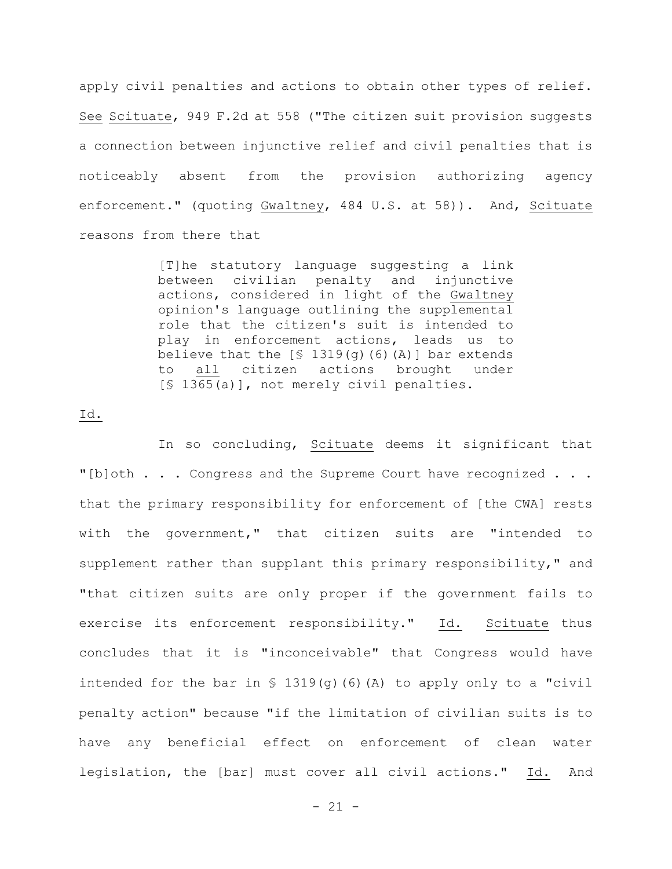apply civil penalties and actions to obtain other types of relief. See Scituate, 949 F.2d at 558 ("The citizen suit provision suggests a connection between injunctive relief and civil penalties that is noticeably absent from the provision authorizing agency enforcement." (quoting Gwaltney, 484 U.S. at 58)). And, Scituate reasons from there that

> [T]he statutory language suggesting a link between civilian penalty and injunctive actions, considered in light of the Gwaltney opinion's language outlining the supplemental role that the citizen's suit is intended to play in enforcement actions, leads us to believe that the  $[$ 1319(g) (6) (A)]$  bar extends to all citizen actions brought under [§ 1365(a)], not merely civil penalties.

## Id.

In so concluding, Scituate deems it significant that "[b]oth . . . Congress and the Supreme Court have recognized . . . that the primary responsibility for enforcement of [the CWA] rests with the government," that citizen suits are "intended to supplement rather than supplant this primary responsibility," and "that citizen suits are only proper if the government fails to exercise its enforcement responsibility." Id. Scituate thus concludes that it is "inconceivable" that Congress would have intended for the bar in  $\frac{1319(9)}{6}$  (6)(A) to apply only to a "civil penalty action" because "if the limitation of civilian suits is to have any beneficial effect on enforcement of clean water legislation, the [bar] must cover all civil actions." Id. And

 $- 21 -$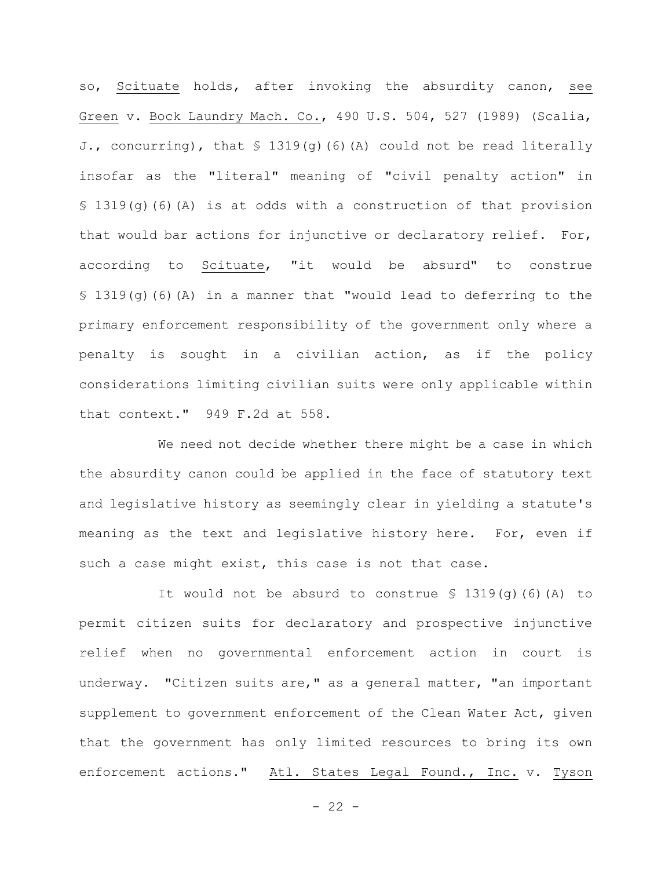so, Scituate holds, after invoking the absurdity canon, see Green v. Bock Laundry Mach. Co., 490 U.S. 504, 527 (1989) (Scalia, J., concurring), that § 1319(g)(6)(A) could not be read literally insofar as the "literal" meaning of "civil penalty action" in  $$ 1319(q)$  (6)(A) is at odds with a construction of that provision that would bar actions for injunctive or declaratory relief. For, according to Scituate, "it would be absurd" to construe § 1319(g)(6)(A) in a manner that "would lead to deferring to the primary enforcement responsibility of the government only where a penalty is sought in a civilian action, as if the policy considerations limiting civilian suits were only applicable within that context." 949 F.2d at 558.

We need not decide whether there might be a case in which the absurdity canon could be applied in the face of statutory text and legislative history as seemingly clear in yielding a statute's meaning as the text and legislative history here. For, even if such a case might exist, this case is not that case.

It would not be absurd to construe  $\S$  1319(q)(6)(A) to permit citizen suits for declaratory and prospective injunctive relief when no governmental enforcement action in court is underway. "Citizen suits are," as a general matter, "an important supplement to government enforcement of the Clean Water Act, given that the government has only limited resources to bring its own enforcement actions." Atl. States Legal Found., Inc. v. Tyson

 $- 22 -$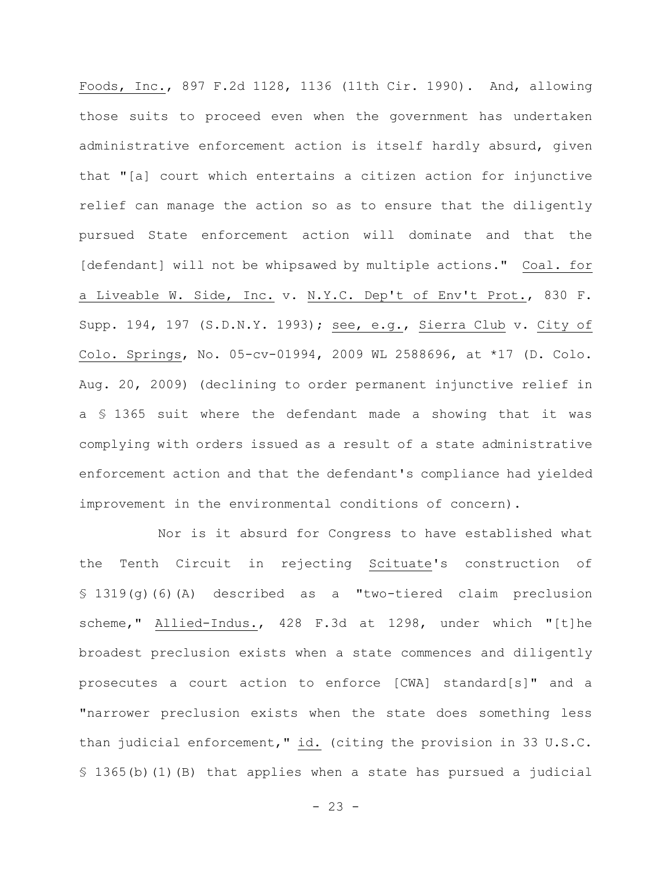Foods, Inc., 897 F.2d 1128, 1136 (11th Cir. 1990). And, allowing those suits to proceed even when the government has undertaken administrative enforcement action is itself hardly absurd, given that "[a] court which entertains a citizen action for injunctive relief can manage the action so as to ensure that the diligently pursued State enforcement action will dominate and that the [defendant] will not be whipsawed by multiple actions." Coal. for a Liveable W. Side, Inc. v. N.Y.C. Dep't of Env't Prot., 830 F. Supp. 194, 197 (S.D.N.Y. 1993); see, e.g., Sierra Club v. City of Colo. Springs, No. 05-cv-01994, 2009 WL 2588696, at \*17 (D. Colo. Aug. 20, 2009) (declining to order permanent injunctive relief in a § 1365 suit where the defendant made a showing that it was complying with orders issued as a result of a state administrative enforcement action and that the defendant's compliance had yielded improvement in the environmental conditions of concern).

Nor is it absurd for Congress to have established what the Tenth Circuit in rejecting Scituate's construction of § 1319(g)(6)(A) described as a "two-tiered claim preclusion scheme," Allied-Indus., 428 F.3d at 1298, under which "[t]he broadest preclusion exists when a state commences and diligently prosecutes a court action to enforce [CWA] standard[s]" and a "narrower preclusion exists when the state does something less than judicial enforcement," id. (citing the provision in 33 U.S.C. § 1365(b)(1)(B) that applies when a state has pursued a judicial

 $- 23 -$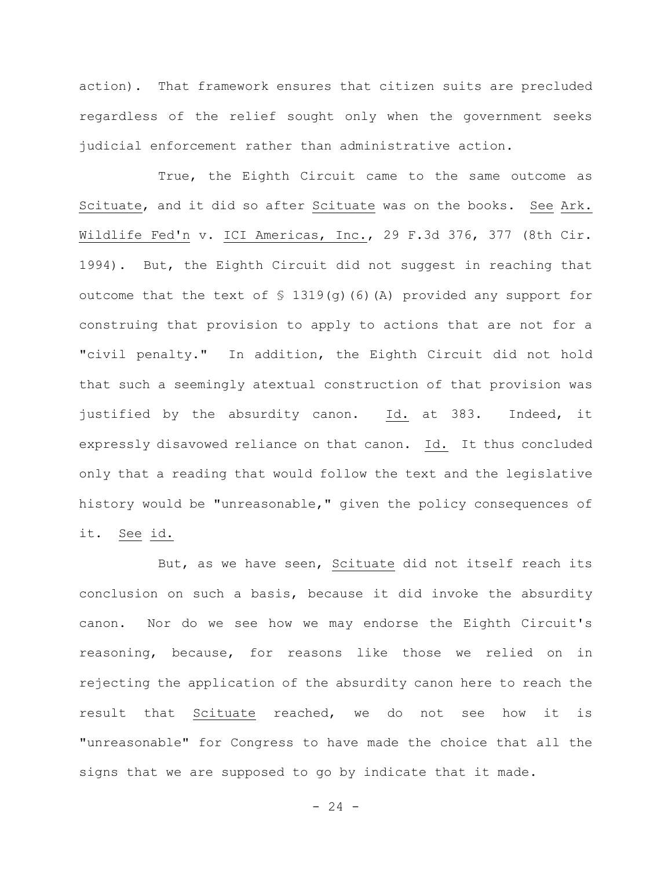action). That framework ensures that citizen suits are precluded regardless of the relief sought only when the government seeks judicial enforcement rather than administrative action.

True, the Eighth Circuit came to the same outcome as Scituate, and it did so after Scituate was on the books. See Ark. Wildlife Fed'n v. ICI Americas, Inc., 29 F.3d 376, 377 (8th Cir. 1994). But, the Eighth Circuit did not suggest in reaching that outcome that the text of  $\frac{1319}{q}$  (6)(A) provided any support for construing that provision to apply to actions that are not for a "civil penalty." In addition, the Eighth Circuit did not hold that such a seemingly atextual construction of that provision was justified by the absurdity canon. Id. at 383. Indeed, it expressly disavowed reliance on that canon. Id. It thus concluded only that a reading that would follow the text and the legislative history would be "unreasonable," given the policy consequences of it. See id.

But, as we have seen, Scituate did not itself reach its conclusion on such a basis, because it did invoke the absurdity canon. Nor do we see how we may endorse the Eighth Circuit's reasoning, because, for reasons like those we relied on in rejecting the application of the absurdity canon here to reach the result that Scituate reached, we do not see how it is "unreasonable" for Congress to have made the choice that all the signs that we are supposed to go by indicate that it made.

 $- 24 -$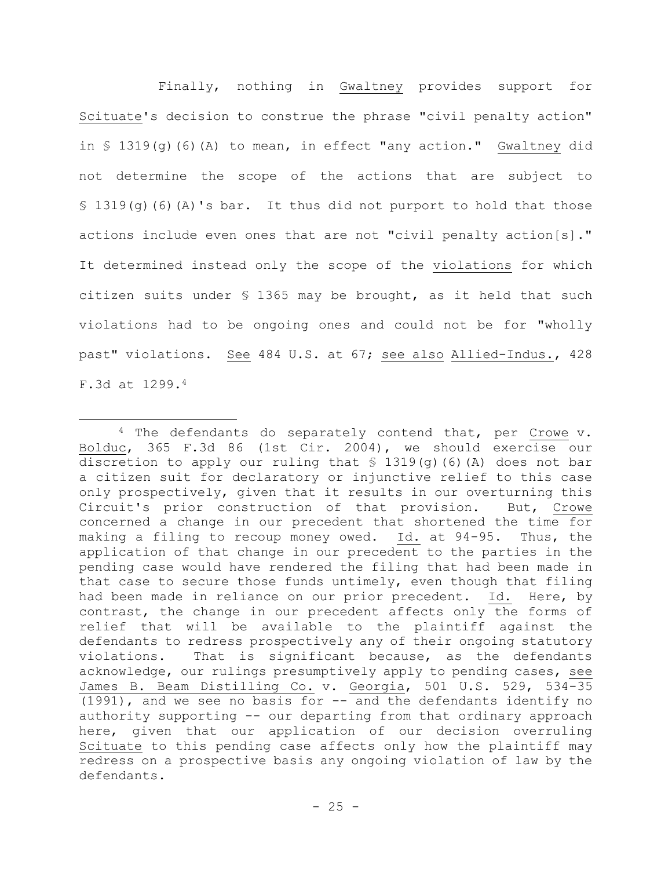Finally, nothing in Gwaltney provides support for Scituate's decision to construe the phrase "civil penalty action" in § 1319(g)(6)(A) to mean, in effect "any action." Gwaltney did not determine the scope of the actions that are subject to  $$ 1319(q)$  (6)(A)'s bar. It thus did not purport to hold that those actions include even ones that are not "civil penalty action[s]." It determined instead only the scope of the violations for which citizen suits under § 1365 may be brought, as it held that such violations had to be ongoing ones and could not be for "wholly past" violations. See 484 U.S. at 67; see also Allied-Indus., 428 F.3d at 1299.<sup>4</sup>

<sup>&</sup>lt;sup>4</sup> The defendants do separately contend that, per Crowe v. Bolduc, 365 F.3d 86 (1st Cir. 2004), we should exercise our discretion to apply our ruling that § 1319(g)(6)(A) does not bar a citizen suit for declaratory or injunctive relief to this case only prospectively, given that it results in our overturning this Circuit's prior construction of that provision. But, Crowe concerned a change in our precedent that shortened the time for making a filing to recoup money owed. Id. at 94-95. Thus, the application of that change in our precedent to the parties in the pending case would have rendered the filing that had been made in that case to secure those funds untimely, even though that filing had been made in reliance on our prior precedent. Id. Here, by contrast, the change in our precedent affects only the forms of relief that will be available to the plaintiff against the defendants to redress prospectively any of their ongoing statutory violations. That is significant because, as the defendants acknowledge, our rulings presumptively apply to pending cases, see James B. Beam Distilling Co. v. Georgia, 501 U.S. 529, 534-35 (1991), and we see no basis for -- and the defendants identify no authority supporting -- our departing from that ordinary approach here, given that our application of our decision overruling Scituate to this pending case affects only how the plaintiff may redress on a prospective basis any ongoing violation of law by the defendants.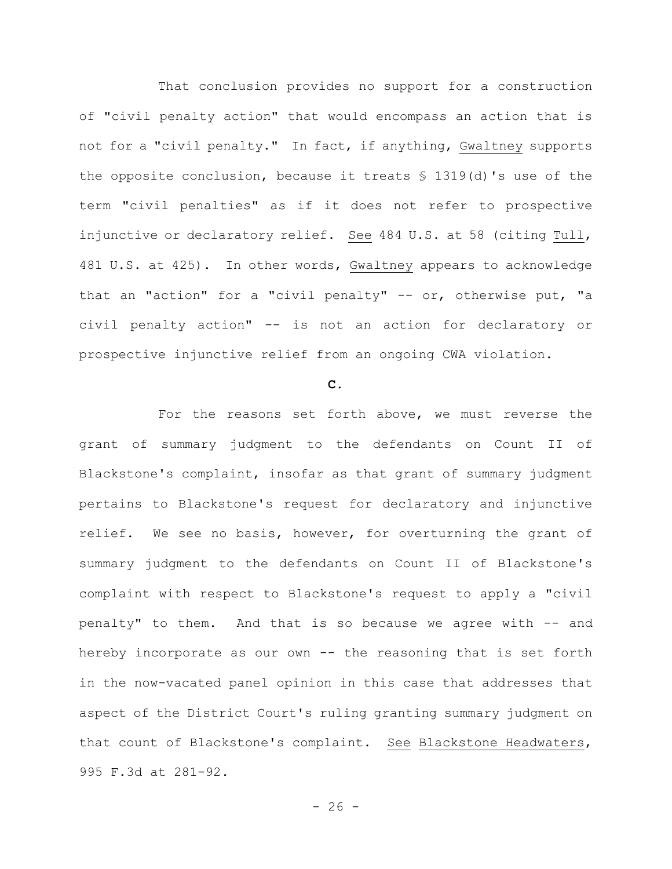That conclusion provides no support for a construction of "civil penalty action" that would encompass an action that is not for a "civil penalty." In fact, if anything, Gwaltney supports the opposite conclusion, because it treats § 1319(d)'s use of the term "civil penalties" as if it does not refer to prospective injunctive or declaratory relief. See 484 U.S. at 58 (citing Tull, 481 U.S. at 425). In other words, Gwaltney appears to acknowledge that an "action" for a "civil penalty" -- or, otherwise put, "a civil penalty action" -- is not an action for declaratory or prospective injunctive relief from an ongoing CWA violation.

#### **C.**

For the reasons set forth above, we must reverse the grant of summary judgment to the defendants on Count II of Blackstone's complaint, insofar as that grant of summary judgment pertains to Blackstone's request for declaratory and injunctive relief. We see no basis, however, for overturning the grant of summary judgment to the defendants on Count II of Blackstone's complaint with respect to Blackstone's request to apply a "civil penalty" to them. And that is so because we agree with -- and hereby incorporate as our own -- the reasoning that is set forth in the now-vacated panel opinion in this case that addresses that aspect of the District Court's ruling granting summary judgment on that count of Blackstone's complaint. See Blackstone Headwaters, 995 F.3d at 281-92.

 $- 26 -$